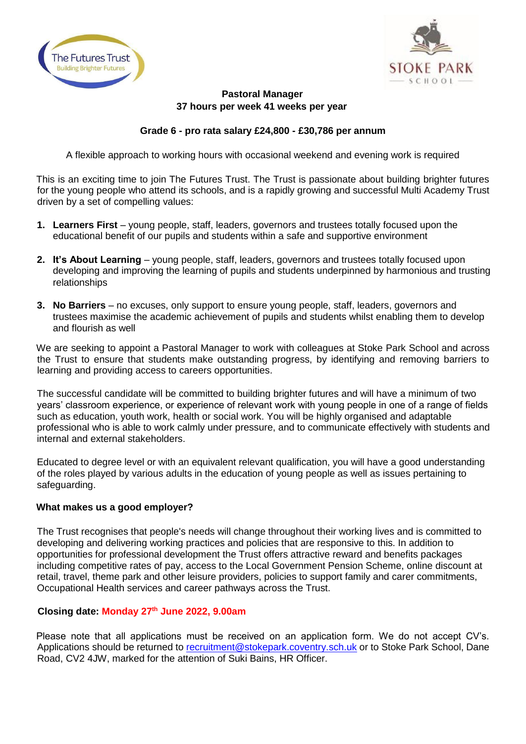



## **Pastoral Manager 37 hours per week 41 weeks per year**

## **Grade 6 - pro rata salary £24,800 - £30,786 per annum**

A flexible approach to working hours with occasional weekend and evening work is required

This is an exciting time to join The Futures Trust. The Trust is passionate about building brighter futures for the young people who attend its schools, and is a rapidly growing and successful Multi Academy Trust driven by a set of compelling values:

- **1. Learners First** young people, staff, leaders, governors and trustees totally focused upon the educational benefit of our pupils and students within a safe and supportive environment
- **2. It's About Learning** young people, staff, leaders, governors and trustees totally focused upon developing and improving the learning of pupils and students underpinned by harmonious and trusting relationships
- **3. No Barriers** no excuses, only support to ensure young people, staff, leaders, governors and trustees maximise the academic achievement of pupils and students whilst enabling them to develop and flourish as well

We are seeking to appoint a Pastoral Manager to work with colleagues at Stoke Park School and across the Trust to ensure that students make outstanding progress, by identifying and removing barriers to learning and providing access to careers opportunities.

The successful candidate will be committed to building brighter futures and will have a minimum of two years' classroom experience, or experience of relevant work with young people in one of a range of fields such as education, youth work, health or social work. You will be highly organised and adaptable professional who is able to work calmly under pressure, and to communicate effectively with students and internal and external stakeholders.

Educated to degree level or with an equivalent relevant qualification, you will have a good understanding of the roles played by various adults in the education of young people as well as issues pertaining to safeguarding.

## **What makes us a good employer?**

The Trust recognises that people's needs will change throughout their working lives and is committed to developing and delivering working practices and policies that are responsive to this. In addition to opportunities for professional development the Trust offers attractive reward and benefits packages including competitive rates of pay, access to the Local Government Pension Scheme, online discount at retail, travel, theme park and other leisure providers, policies to support family and carer commitments, Occupational Health services and career pathways across the Trust.

## **Closing date: Monday 27 th June 2022, 9.00am**

Please note that all applications must be received on an application form. We do not accept CV's. Applications should be returned to recruitment@stokepark.coventry.sch.uk or to Stoke Park School, Dane Road, CV2 4JW, marked for the attention of Suki Bains, HR Officer.